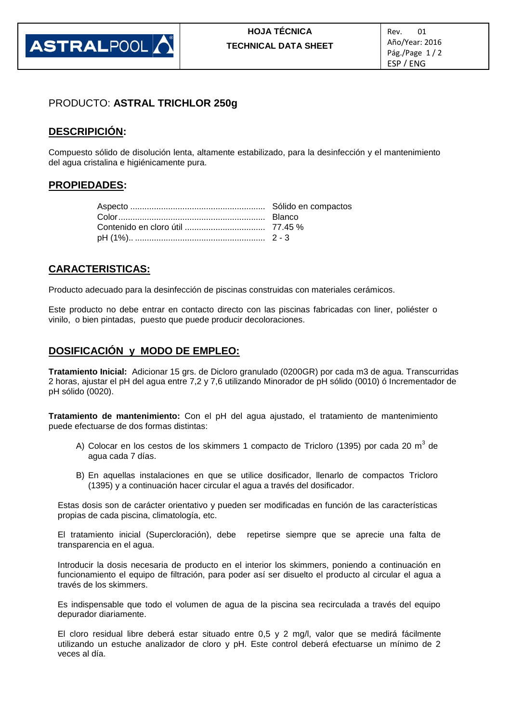

### PRODUCTO: **ASTRAL TRICHLOR 250g**

# **DESCRIPICIÓN:**

Compuesto sólido de disolución lenta, altamente estabilizado, para la desinfección y el mantenimiento del agua cristalina e higiénicamente pura.

#### **PROPIEDADES:**

# **CARACTERISTICAS:**

Producto adecuado para la desinfección de piscinas construidas con materiales cerámicos.

Este producto no debe entrar en contacto directo con las piscinas fabricadas con liner, poliéster o vinilo, o bien pintadas, puesto que puede producir decoloraciones.

# **DOSIFICACIÓN y MODO DE EMPLEO:**

**Tratamiento Inicial:** Adicionar 15 grs. de Dicloro granulado (0200GR) por cada m3 de agua. Transcurridas 2 horas, ajustar el pH del agua entre 7,2 y 7,6 utilizando Minorador de pH sólido (0010) ó Incrementador de pH sólido (0020).

**Tratamiento de mantenimiento:** Con el pH del agua ajustado, el tratamiento de mantenimiento puede efectuarse de dos formas distintas:

- A) Colocar en los cestos de los skimmers 1 compacto de Tricloro (1395) por cada 20 m<sup>3</sup> de agua cada 7 días.
- B) En aquellas instalaciones en que se utilice dosificador, llenarlo de compactos Tricloro (1395) y a continuación hacer circular el agua a través del dosificador.

Estas dosis son de carácter orientativo y pueden ser modificadas en función de las características propias de cada piscina, climatología, etc.

El tratamiento inicial (Supercloración), debe repetirse siempre que se aprecie una falta de transparencia en el agua.

Introducir la dosis necesaria de producto en el interior los skimmers, poniendo a continuación en funcionamiento el equipo de filtración, para poder así ser disuelto el producto al circular el agua a través de los skimmers.

Es indispensable que todo el volumen de agua de la piscina sea recirculada a través del equipo depurador diariamente.

El cloro residual libre deberá estar situado entre 0,5 y 2 mg/l, valor que se medirá fácilmente utilizando un estuche analizador de cloro y pH. Este control deberá efectuarse un mínimo de 2 veces al día.